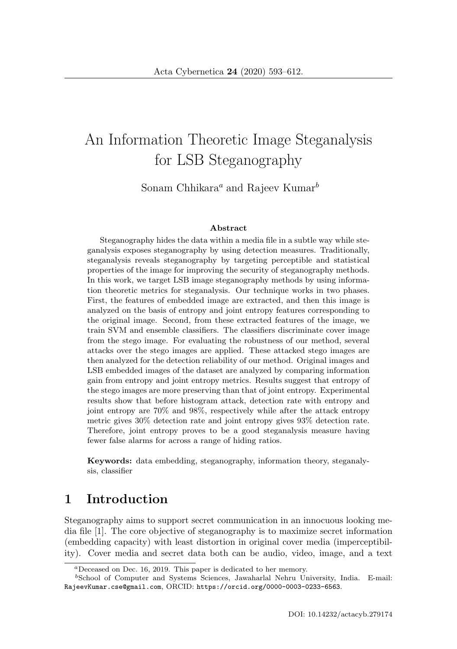# An Information Theoretic Image Steganalysis for LSB Steganography

Sonam Chhikara<sup>a</sup> and Rajeev Kumar<sup>b</sup>

#### **Abstract**

Steganography hides the data within a media file in a subtle way while steganalysis exposes steganography by using detection measures. Traditionally, steganalysis reveals steganography by targeting perceptible and statistical properties of the image for improving the security of steganography methods. In this work, we target LSB image steganography methods by using information theoretic metrics for steganalysis. Our technique works in two phases. First, the features of embedded image are extracted, and then this image is analyzed on the basis of entropy and joint entropy features corresponding to the original image. Second, from these extracted features of the image, we train SVM and ensemble classifiers. The classifiers discriminate cover image from the stego image. For evaluating the robustness of our method, several attacks over the stego images are applied. These attacked stego images are then analyzed for the detection reliability of our method. Original images and LSB embedded images of the dataset are analyzed by comparing information gain from entropy and joint entropy metrics. Results suggest that entropy of the stego images are more preserving than that of joint entropy. Experimental results show that before histogram attack, detection rate with entropy and joint entropy are 70% and 98%, respectively while after the attack entropy metric gives 30% detection rate and joint entropy gives 93% detection rate. Therefore, joint entropy proves to be a good steganalysis measure having fewer false alarms for across a range of hiding ratios.

**Keywords:** data embedding, steganography, information theory, steganalysis, classifier

# **1 Introduction**

Steganography aims to support secret communication in an innocuous looking media file [1]. The core objective of steganography is to maximize secret information (embedding capacity) with least distortion in original cover media (imperceptibility). Cover media and secret data both can be audio, video, image, and a text

<sup>a</sup>Deceased on Dec. 16, 2019. This paper is dedicated to her memory.

<sup>b</sup>School of Computer and Systems Sciences, Jawaharlal Nehru University, India. E-mail: RajeevKumar.cse@gmail.com, ORCID: https://orcid.org/0000-0003-0233-6563.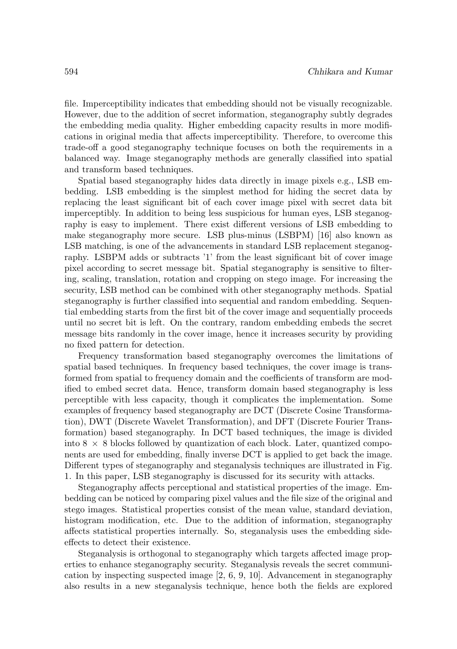file. Imperceptibility indicates that embedding should not be visually recognizable. However, due to the addition of secret information, steganography subtly degrades the embedding media quality. Higher embedding capacity results in more modifications in original media that affects imperceptibility. Therefore, to overcome this trade-off a good steganography technique focuses on both the requirements in a balanced way. Image steganography methods are generally classified into spatial and transform based techniques.

Spatial based steganography hides data directly in image pixels e.g., LSB embedding. LSB embedding is the simplest method for hiding the secret data by replacing the least significant bit of each cover image pixel with secret data bit imperceptibly. In addition to being less suspicious for human eyes, LSB steganography is easy to implement. There exist different versions of LSB embedding to make steganography more secure. LSB plus-minus (LSBPM) [16] also known as LSB matching, is one of the advancements in standard LSB replacement steganography. LSBPM adds or subtracts '1' from the least significant bit of cover image pixel according to secret message bit. Spatial steganography is sensitive to filtering, scaling, translation, rotation and cropping on stego image. For increasing the security, LSB method can be combined with other steganography methods. Spatial steganography is further classified into sequential and random embedding. Sequential embedding starts from the first bit of the cover image and sequentially proceeds until no secret bit is left. On the contrary, random embedding embeds the secret message bits randomly in the cover image, hence it increases security by providing no fixed pattern for detection.

Frequency transformation based steganography overcomes the limitations of spatial based techniques. In frequency based techniques, the cover image is transformed from spatial to frequency domain and the coefficients of transform are modified to embed secret data. Hence, transform domain based steganography is less perceptible with less capacity, though it complicates the implementation. Some examples of frequency based steganography are DCT (Discrete Cosine Transformation), DWT (Discrete Wavelet Transformation), and DFT (Discrete Fourier Transformation) based steganography. In DCT based techniques, the image is divided into  $8 \times 8$  blocks followed by quantization of each block. Later, quantized components are used for embedding, finally inverse DCT is applied to get back the image. Different types of steganography and steganalysis techniques are illustrated in Fig. 1. In this paper, LSB steganography is discussed for its security with attacks.

Steganography affects perceptional and statistical properties of the image. Embedding can be noticed by comparing pixel values and the file size of the original and stego images. Statistical properties consist of the mean value, standard deviation, histogram modification, etc. Due to the addition of information, steganography affects statistical properties internally. So, steganalysis uses the embedding sideeffects to detect their existence.

Steganalysis is orthogonal to steganography which targets affected image properties to enhance steganography security. Steganalysis reveals the secret communication by inspecting suspected image  $[2, 6, 9, 10]$ . Advancement in steganography also results in a new steganalysis technique, hence both the fields are explored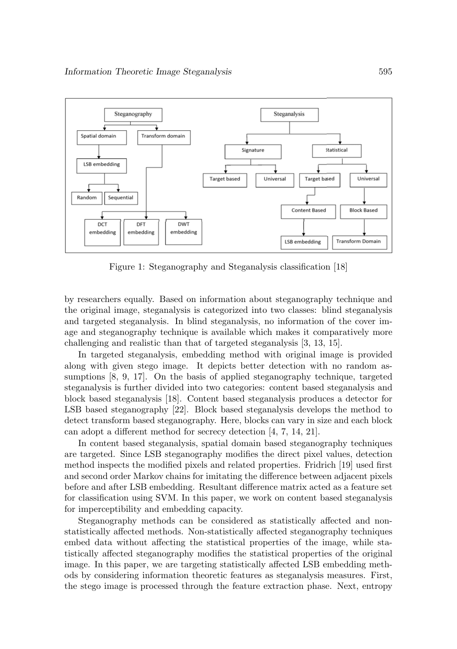

Figure 1: Steganography and Steganalysis classification [18]

by researchers equally. Based on information about steganography technique and the original image, steganalysis is categorized into two classes: blind steganalysis and targeted steganalysis. In blind steganalysis, no information of the cover image and steganography technique is available which makes it comparatively more challenging and realistic than that of targeted steganalysis [3, 13, 15].

In targeted steganalysis, embedding method with original image is provided along with given stego image. It depicts better detection with no random assumptions [8, 9, 17]. On the basis of applied steganography technique, targeted steganalysis is further divided into two categories: content based steganalysis and block based steganalysis [18]. Content based steganalysis produces a detector for LSB based steganography [22]. Block based steganalysis develops the method to detect transform based steganography. Here, blocks can vary in size and each block can adopt a different method for secrecy detection [4, 7, 14, 21].

In content based steganalysis, spatial domain based steganography techniques are targeted. Since LSB steganography modifies the direct pixel values, detection method inspects the modified pixels and related properties. Fridrich [19] used first and second order Markov chains for imitating the difference between adjacent pixels before and after LSB embedding. Resultant difference matrix acted as a feature set for classification using SVM. In this paper, we work on content based steganalysis for imperceptibility and embedding capacity.

Steganography methods can be considered as statistically affected and nonstatistically affected methods. Non-statistically affected steganography techniques embed data without affecting the statistical properties of the image, while statistically affected steganography modifies the statistical properties of the original image. In this paper, we are targeting statistically affected LSB embedding methods by considering information theoretic features as steganalysis measures. First, the stego image is processed through the feature extraction phase. Next, entropy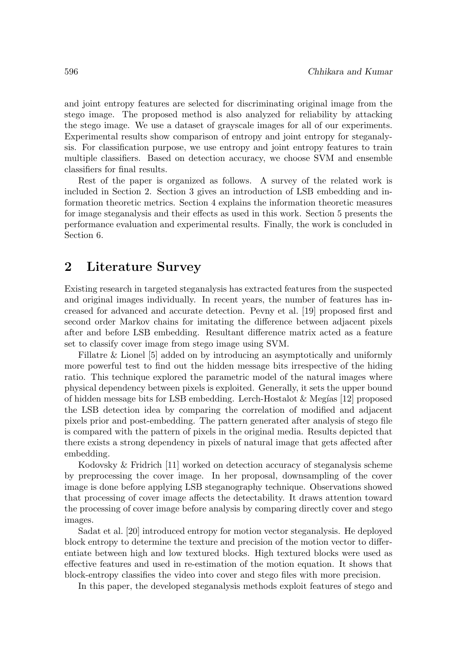and joint entropy features are selected for discriminating original image from the stego image. The proposed method is also analyzed for reliability by attacking the stego image. We use a dataset of grayscale images for all of our experiments. Experimental results show comparison of entropy and joint entropy for steganalysis. For classification purpose, we use entropy and joint entropy features to train multiple classifiers. Based on detection accuracy, we choose SVM and ensemble classifiers for final results.

Rest of the paper is organized as follows. A survey of the related work is included in Section 2. Section 3 gives an introduction of LSB embedding and information theoretic metrics. Section 4 explains the information theoretic measures for image steganalysis and their effects as used in this work. Section 5 presents the performance evaluation and experimental results. Finally, the work is concluded in Section 6.

# **2 Literature Survey**

Existing research in targeted steganalysis has extracted features from the suspected and original images individually. In recent years, the number of features has increased for advanced and accurate detection. Pevny et al. [19] proposed first and second order Markov chains for imitating the difference between adjacent pixels after and before LSB embedding. Resultant difference matrix acted as a feature set to classify cover image from stego image using SVM.

Fillatre & Lionel [5] added on by introducing an asymptotically and uniformly more powerful test to find out the hidden message bits irrespective of the hiding ratio. This technique explored the parametric model of the natural images where physical dependency between pixels is exploited. Generally, it sets the upper bound of hidden message bits for LSB embedding. Lerch-Hostalot & Meg´ıas [12] proposed the LSB detection idea by comparing the correlation of modified and adjacent pixels prior and post-embedding. The pattern generated after analysis of stego file is compared with the pattern of pixels in the original media. Results depicted that there exists a strong dependency in pixels of natural image that gets affected after embedding.

Kodovsky & Fridrich [11] worked on detection accuracy of steganalysis scheme by preprocessing the cover image. In her proposal, downsampling of the cover image is done before applying LSB steganography technique. Observations showed that processing of cover image affects the detectability. It draws attention toward the processing of cover image before analysis by comparing directly cover and stego images.

Sadat et al. [20] introduced entropy for motion vector steganalysis. He deployed block entropy to determine the texture and precision of the motion vector to differentiate between high and low textured blocks. High textured blocks were used as effective features and used in re-estimation of the motion equation. It shows that block-entropy classifies the video into cover and stego files with more precision.

In this paper, the developed steganalysis methods exploit features of stego and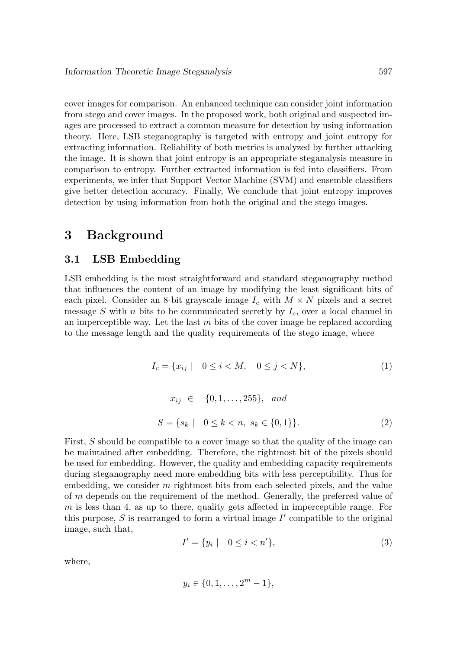cover images for comparison. An enhanced technique can consider joint information from stego and cover images. In the proposed work, both original and suspected images are processed to extract a common measure for detection by using information theory. Here, LSB steganography is targeted with entropy and joint entropy for extracting information. Reliability of both metrics is analyzed by further attacking the image. It is shown that joint entropy is an appropriate steganalysis measure in comparison to entropy. Further extracted information is fed into classifiers. From experiments, we infer that Support Vector Machine (SVM) and ensemble classifiers give better detection accuracy. Finally, We conclude that joint entropy improves detection by using information from both the original and the stego images.

# **3 Background**

### **3.1 LSB Embedding**

LSB embedding is the most straightforward and standard steganography method that influences the content of an image by modifying the least significant bits of each pixel. Consider an 8-bit grayscale image  $I_c$  with  $M \times N$  pixels and a secret message S with n bits to be communicated secretly by  $I_c$ , over a local channel in an imperceptible way. Let the last  $m$  bits of the cover image be replaced according to the message length and the quality requirements of the stego image, where

$$
I_c = \{ x_{ij} \mid 0 \le i < M, 0 \le j < N \},\tag{1}
$$

$$
x_{ij} \in \{0, 1, ..., 255\}, \text{ and}
$$
  

$$
S = \{s_k \mid 0 \le k < n, s_k \in \{0, 1\}\}.
$$
 (2)

First, S should be compatible to a cover image so that the quality of the image can be maintained after embedding. Therefore, the rightmost bit of the pixels should be used for embedding. However, the quality and embedding capacity requirements during steganography need more embedding bits with less perceptibility. Thus for embedding, we consider m rightmost bits from each selected pixels, and the value of m depends on the requirement of the method. Generally, the preferred value of  $m$  is less than 4, as up to there, quality gets affected in imperceptible range. For this purpose,  $S$  is rearranged to form a virtual image  $I'$  compatible to the original image, such that,

$$
I' = \{ y_i \mid 0 \le i < n' \},\tag{3}
$$

where,

$$
y_i \in \{0, 1, \dots, 2^m - 1\},\
$$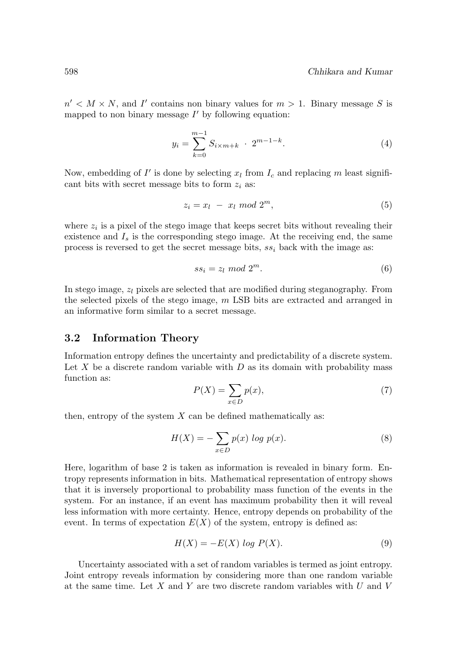$n' < M \times N$ , and I' contains non binary values for  $m > 1$ . Binary message S is mapped to non binary message  $I'$  by following equation:

$$
y_i = \sum_{k=0}^{m-1} S_{i \times m+k} \cdot 2^{m-1-k}.
$$
 (4)

Now, embedding of  $I'$  is done by selecting  $x_l$  from  $I_c$  and replacing m least significant bits with secret message bits to form  $z_i$  as:

$$
z_i = x_l - x_l \mod 2^m,\tag{5}
$$

where  $z_i$  is a pixel of the stego image that keeps secret bits without revealing their existence and  $I_s$  is the corresponding stego image. At the receiving end, the same process is reversed to get the secret message bits,  $ss_i$  back with the image as:

$$
ss_i = z_l \mod 2^m. \tag{6}
$$

In stego image,  $z_l$  pixels are selected that are modified during steganography. From the selected pixels of the stego image, m LSB bits are extracted and arranged in an informative form similar to a secret message.

#### **3.2 Information Theory**

Information entropy defines the uncertainty and predictability of a discrete system. Let X be a discrete random variable with  $D$  as its domain with probability mass function as:

$$
P(X) = \sum_{x \in D} p(x),\tag{7}
$$

then, entropy of the system  $X$  can be defined mathematically as:

$$
H(X) = -\sum_{x \in D} p(x) \log p(x). \tag{8}
$$

Here, logarithm of base 2 is taken as information is revealed in binary form. Entropy represents information in bits. Mathematical representation of entropy shows that it is inversely proportional to probability mass function of the events in the system. For an instance, if an event has maximum probability then it will reveal less information with more certainty. Hence, entropy depends on probability of the event. In terms of expectation  $E(X)$  of the system, entropy is defined as:

$$
H(X) = -E(X) \log P(X). \tag{9}
$$

Uncertainty associated with a set of random variables is termed as joint entropy. Joint entropy reveals information by considering more than one random variable at the same time. Let X and Y are two discrete random variables with  $U$  and  $V$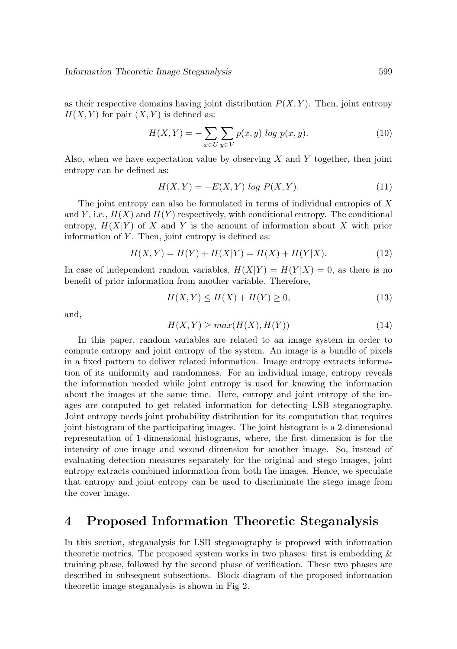as their respective domains having joint distribution  $P(X, Y)$ . Then, joint entropy  $H(X, Y)$  for pair  $(X, Y)$  is defined as:

$$
H(X,Y) = -\sum_{x \in U} \sum_{y \in V} p(x,y) \log p(x,y).
$$
 (10)

Also, when we have expectation value by observing  $X$  and  $Y$  together, then joint entropy can be defined as:

$$
H(X,Y) = -E(X,Y) \log P(X,Y). \tag{11}
$$

The joint entropy can also be formulated in terms of individual entropies of  $X$ and Y, i.e.,  $H(X)$  and  $H(Y)$  respectively, with conditional entropy. The conditional entropy,  $H(X|Y)$  of X and Y is the amount of information about X with prior information of  $Y$ . Then, joint entropy is defined as:

$$
H(X,Y) = H(Y) + H(X|Y) = H(X) + H(Y|X).
$$
\n(12)

In case of independent random variables,  $H(X|Y) = H(Y|X) = 0$ , as there is no benefit of prior information from another variable. Therefore,

$$
H(X,Y) \le H(X) + H(Y) \ge 0,\t(13)
$$

and,

$$
H(X,Y) \ge \max(H(X), H(Y))\tag{14}
$$

In this paper, random variables are related to an image system in order to compute entropy and joint entropy of the system. An image is a bundle of pixels in a fixed pattern to deliver related information. Image entropy extracts information of its uniformity and randomness. For an individual image, entropy reveals the information needed while joint entropy is used for knowing the information about the images at the same time. Here, entropy and joint entropy of the images are computed to get related information for detecting LSB steganography. Joint entropy needs joint probability distribution for its computation that requires joint histogram of the participating images. The joint histogram is a 2-dimensional representation of 1-dimensional histograms, where, the first dimension is for the intensity of one image and second dimension for another image. So, instead of evaluating detection measures separately for the original and stego images, joint entropy extracts combined information from both the images. Hence, we speculate that entropy and joint entropy can be used to discriminate the stego image from the cover image.

### **4 Proposed Information Theoretic Steganalysis**

In this section, steganalysis for LSB steganography is proposed with information theoretic metrics. The proposed system works in two phases: first is embedding & training phase, followed by the second phase of verification. These two phases are described in subsequent subsections. Block diagram of the proposed information theoretic image steganalysis is shown in Fig 2.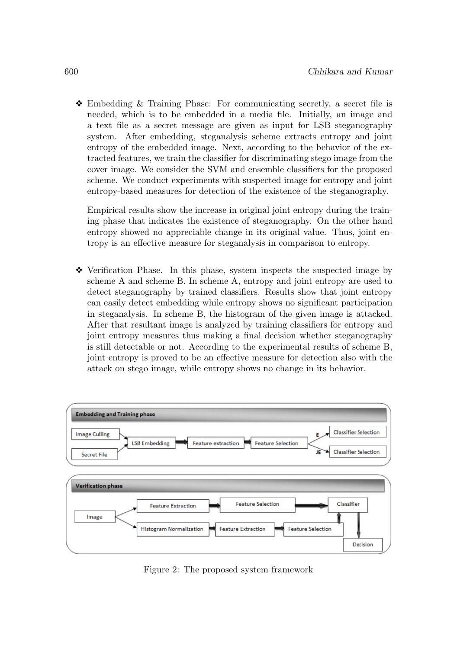❖ Embedding & Training Phase: For communicating secretly, a secret file is needed, which is to be embedded in a media file. Initially, an image and a text file as a secret message are given as input for LSB steganography system. After embedding, steganalysis scheme extracts entropy and joint entropy of the embedded image. Next, according to the behavior of the extracted features, we train the classifier for discriminating stego image from the cover image. We consider the SVM and ensemble classifiers for the proposed scheme. We conduct experiments with suspected image for entropy and joint entropy-based measures for detection of the existence of the steganography.

Empirical results show the increase in original joint entropy during the training phase that indicates the existence of steganography. On the other hand entropy showed no appreciable change in its original value. Thus, joint entropy is an effective measure for steganalysis in comparison to entropy.

❖ Verification Phase. In this phase, system inspects the suspected image by scheme A and scheme B. In scheme A, entropy and joint entropy are used to detect steganography by trained classifiers. Results show that joint entropy can easily detect embedding while entropy shows no significant participation in steganalysis. In scheme B, the histogram of the given image is attacked. After that resultant image is analyzed by training classifiers for entropy and joint entropy measures thus making a final decision whether steganography is still detectable or not. According to the experimental results of scheme B, joint entropy is proved to be an effective measure for detection also with the attack on stego image, while entropy shows no change in its behavior.



Figure 2: The proposed system framework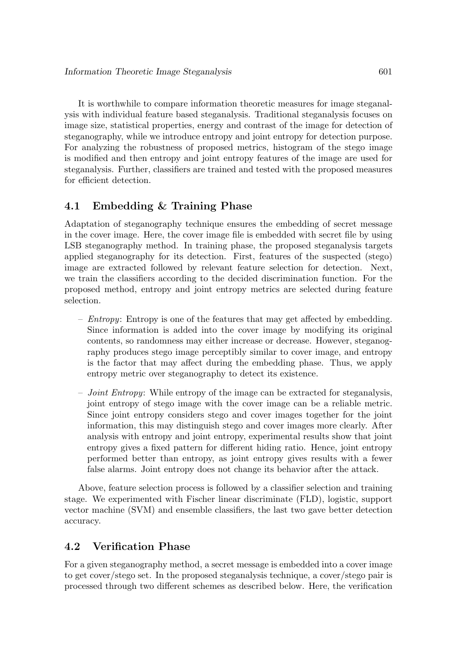It is worthwhile to compare information theoretic measures for image steganalysis with individual feature based steganalysis. Traditional steganalysis focuses on image size, statistical properties, energy and contrast of the image for detection of steganography, while we introduce entropy and joint entropy for detection purpose. For analyzing the robustness of proposed metrics, histogram of the stego image is modified and then entropy and joint entropy features of the image are used for steganalysis. Further, classifiers are trained and tested with the proposed measures for efficient detection.

### **4.1 Embedding & Training Phase**

Adaptation of steganography technique ensures the embedding of secret message in the cover image. Here, the cover image file is embedded with secret file by using LSB steganography method. In training phase, the proposed steganalysis targets applied steganography for its detection. First, features of the suspected (stego) image are extracted followed by relevant feature selection for detection. Next, we train the classifiers according to the decided discrimination function. For the proposed method, entropy and joint entropy metrics are selected during feature selection.

- $Entropy$ : Entropy is one of the features that may get affected by embedding. Since information is added into the cover image by modifying its original contents, so randomness may either increase or decrease. However, steganography produces stego image perceptibly similar to cover image, and entropy is the factor that may affect during the embedding phase. Thus, we apply entropy metric over steganography to detect its existence.
- $-$  Joint Entropy: While entropy of the image can be extracted for steganalysis, joint entropy of stego image with the cover image can be a reliable metric. Since joint entropy considers stego and cover images together for the joint information, this may distinguish stego and cover images more clearly. After analysis with entropy and joint entropy, experimental results show that joint entropy gives a fixed pattern for different hiding ratio. Hence, joint entropy performed better than entropy, as joint entropy gives results with a fewer false alarms. Joint entropy does not change its behavior after the attack.

Above, feature selection process is followed by a classifier selection and training stage. We experimented with Fischer linear discriminate (FLD), logistic, support vector machine (SVM) and ensemble classifiers, the last two gave better detection accuracy.

### **4.2 Verification Phase**

For a given steganography method, a secret message is embedded into a cover image to get cover/stego set. In the proposed steganalysis technique, a cover/stego pair is processed through two different schemes as described below. Here, the verification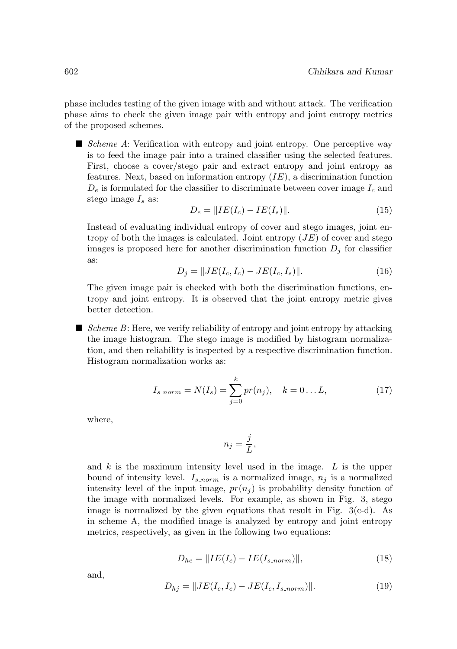phase includes testing of the given image with and without attack. The verification phase aims to check the given image pair with entropy and joint entropy metrics of the proposed schemes.

 $\blacksquare$  Scheme A: Verification with entropy and joint entropy. One perceptive way is to feed the image pair into a trained classifier using the selected features. First, choose a cover/stego pair and extract entropy and joint entropy as features. Next, based on information entropy  $(IE)$ , a discrimination function  $D_e$  is formulated for the classifier to discriminate between cover image  $I_c$  and stego image  $I_s$  as:

$$
D_e = \|IE(I_c) - IE(I_s)\|.
$$
\n(15)

Instead of evaluating individual entropy of cover and stego images, joint entropy of both the images is calculated. Joint entropy  $(JE)$  of cover and stego images is proposed here for another discrimination function  $D_i$  for classifier as:

$$
D_j = \|JE(I_c, I_c) - JE(I_c, I_s)\|.
$$
\n(16)

The given image pair is checked with both the discrimination functions, entropy and joint entropy. It is observed that the joint entropy metric gives better detection.

 $\blacksquare$  Scheme B: Here, we verify reliability of entropy and joint entropy by attacking the image histogram. The stego image is modified by histogram normalization, and then reliability is inspected by a respective discrimination function. Histogram normalization works as:

$$
I_{s\text{.norm}} = N(I_s) = \sum_{j=0}^{k} pr(n_j), \quad k = 0...L,
$$
 (17)

where,

$$
n_j = \frac{j}{L},
$$

and  $k$  is the maximum intensity level used in the image.  $L$  is the upper bound of intensity level.  $I_{s,norm}$  is a normalized image,  $n_i$  is a normalized intensity level of the input image,  $pr(n_i)$  is probability density function of the image with normalized levels. For example, as shown in Fig. 3, stego image is normalized by the given equations that result in Fig.  $3(c-d)$ . As in scheme A, the modified image is analyzed by entropy and joint entropy metrics, respectively, as given in the following two equations:

$$
D_{he} = \|IE(I_c) - IE(I_{s.norm})\|,\tag{18}
$$

and,

$$
D_{hj} = \|JE(I_c, I_c) - JE(I_c, I_{s\text{-}norm})\|.
$$
 (19)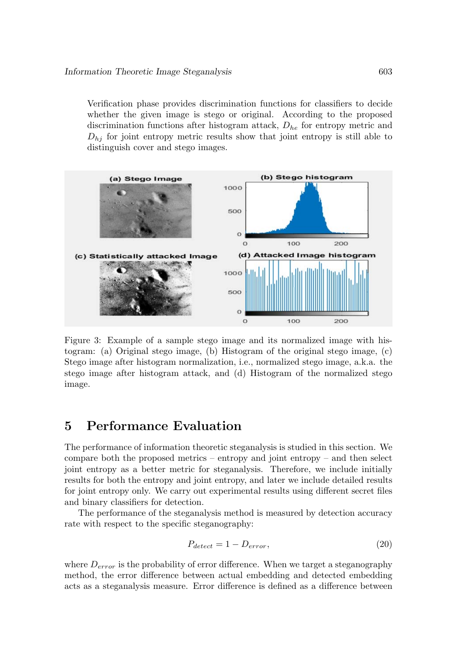Verification phase provides discrimination functions for classifiers to decide whether the given image is stego or original. According to the proposed discrimination functions after histogram attack,  $D_{he}$  for entropy metric and  $D_{hj}$  for joint entropy metric results show that joint entropy is still able to distinguish cover and stego images.



Figure 3: Example of a sample stego image and its normalized image with histogram: (a) Original stego image, (b) Histogram of the original stego image, (c) Stego image after histogram normalization, i.e., normalized stego image, a.k.a. the stego image after histogram attack, and (d) Histogram of the normalized stego image.

# **5 Performance Evaluation**

The performance of information theoretic steganalysis is studied in this section. We compare both the proposed metrics – entropy and joint entropy – and then select joint entropy as a better metric for steganalysis. Therefore, we include initially results for both the entropy and joint entropy, and later we include detailed results for joint entropy only. We carry out experimental results using different secret files and binary classifiers for detection.

The performance of the steganalysis method is measured by detection accuracy rate with respect to the specific steganography:

$$
P_{detect} = 1 - D_{error},\tag{20}
$$

where  $D_{error}$  is the probability of error difference. When we target a steganography method, the error difference between actual embedding and detected embedding acts as a steganalysis measure. Error difference is defined as a difference between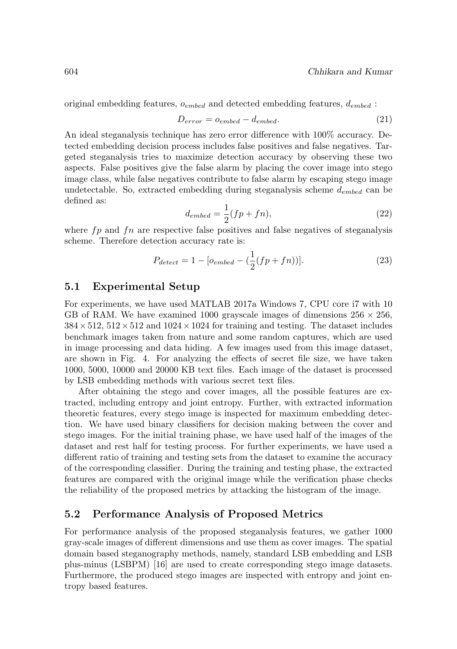original embedding features,  $o_{embed}$  and detected embedding features,  $d_{embed}$ :

$$
D_{error} = o_{embed} - d_{embed}.\tag{21}
$$

An ideal steganalysis technique has zero error difference with 100% accuracy. Detected embedding decision process includes false positives and false negatives. Targeted steganalysis tries to maximize detection accuracy by observing these two aspects. False positives give the false alarm by placing the cover image into stego image class, while false negatives contribute to false alarm by escaping stego image undetectable. So, extracted embedding during steganalysis scheme  $d_{embed}$  can be defined as:

$$
d_{embed} = \frac{1}{2}(fp + fn),\tag{22}
$$

where  $fp$  and  $fn$  are respective false positives and false negatives of steganalysis scheme. Therefore detection accuracy rate is:

$$
P_{detect} = 1 - [o_{embed} - (\frac{1}{2}(fp + fn))]. \tag{23}
$$

#### **5.1 Experimental Setup**

For experiments, we have used MATLAB 2017a Windows 7, CPU core i7 with 10 GB of RAM. We have examined 1000 grayscale images of dimensions  $256 \times 256$ ,  $384 \times 512$ ,  $512 \times 512$  and  $1024 \times 1024$  for training and testing. The dataset includes benchmark images taken from nature and some random captures, which are used in image processing and data hiding. A few images used from this image dataset, are shown in Fig. 4. For analyzing the effects of secret file size, we have taken 1000, 5000, 10000 and 20000 KB text files. Each image of the dataset is processed by LSB embedding methods with various secret text files.

After obtaining the stego and cover images, all the possible features are extracted, including entropy and joint entropy. Further, with extracted information theoretic features, every stego image is inspected for maximum embedding detection. We have used binary classifiers for decision making between the cover and stego images. For the initial training phase, we have used half of the images of the dataset and rest half for testing process. For further experiments, we have used a different ratio of training and testing sets from the dataset to examine the accuracy of the corresponding classifier. During the training and testing phase, the extracted features are compared with the original image while the verification phase checks the reliability of the proposed metrics by attacking the histogram of the image.

#### **5.2 Performance Analysis of Proposed Metrics**

For performance analysis of the proposed steganalysis features, we gather 1000 gray-scale images of different dimensions and use them as cover images. The spatial domain based steganography methods, namely, standard LSB embedding and LSB plus-minus (LSBPM) [16] are used to create corresponding stego image datasets. Furthermore, the produced stego images are inspected with entropy and joint entropy based features.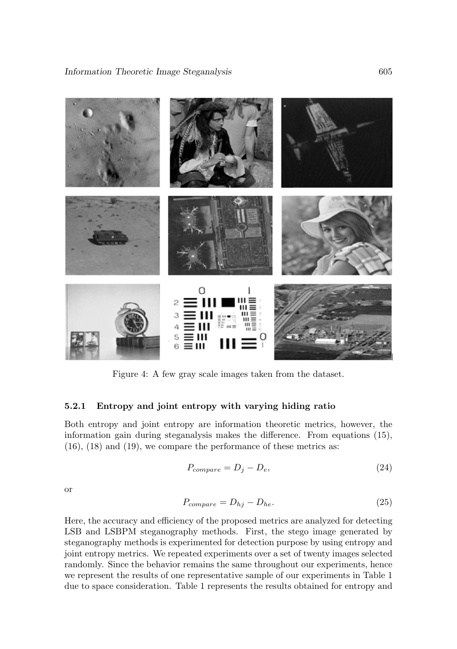

Figure 4: A few gray scale images taken from the dataset.

#### **5.2.1 Entropy and joint entropy with varying hiding ratio**

Both entropy and joint entropy are information theoretic metrics, however, the information gain during steganalysis makes the difference. From equations (15), (16), (18) and (19), we compare the performance of these metrics as:

$$
P_{compare} = D_j - D_e,\t\t(24)
$$

or

$$
P_{compare} = D_{hj} - D_{he}.\tag{25}
$$

Here, the accuracy and efficiency of the proposed metrics are analyzed for detecting LSB and LSBPM steganography methods. First, the stego image generated by steganography methods is experimented for detection purpose by using entropy and joint entropy metrics. We repeated experiments over a set of twenty images selected randomly. Since the behavior remains the same throughout our experiments, hence we represent the results of one representative sample of our experiments in Table 1 due to space consideration. Table 1 represents the results obtained for entropy and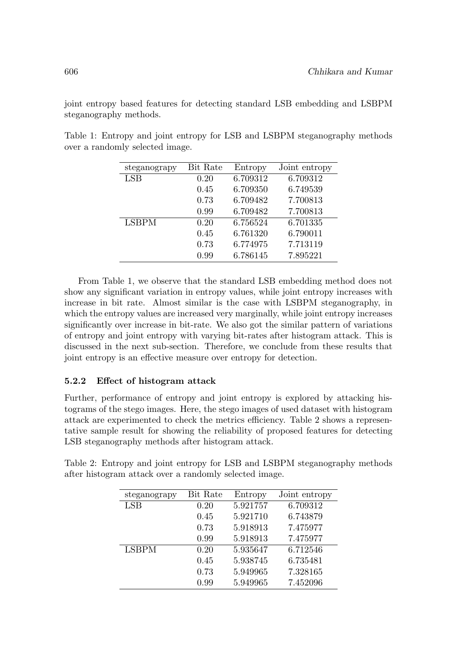joint entropy based features for detecting standard LSB embedding and LSBPM steganography methods.

Table 1: Entropy and joint entropy for LSB and LSBPM steganography methods over a randomly selected image.

| steganograpy | Bit Rate | Entropy  | Joint entropy |
|--------------|----------|----------|---------------|
| LSB          | 0.20     | 6.709312 | 6.709312      |
|              | 0.45     | 6.709350 | 6.749539      |
|              | 0.73     | 6.709482 | 7.700813      |
|              | 0.99     | 6.709482 | 7.700813      |
| <b>LSBPM</b> | 0.20     | 6.756524 | 6.701335      |
|              | 0.45     | 6.761320 | 6.790011      |
|              | 0.73     | 6.774975 | 7.713119      |
|              | 0.99     | 6.786145 | 7.895221      |

From Table 1, we observe that the standard LSB embedding method does not show any significant variation in entropy values, while joint entropy increases with increase in bit rate. Almost similar is the case with LSBPM steganography, in which the entropy values are increased very marginally, while joint entropy increases significantly over increase in bit-rate. We also got the similar pattern of variations of entropy and joint entropy with varying bit-rates after histogram attack. This is discussed in the next sub-section. Therefore, we conclude from these results that joint entropy is an effective measure over entropy for detection.

#### **5.2.2 Effect of histogram attack**

Further, performance of entropy and joint entropy is explored by attacking histograms of the stego images. Here, the stego images of used dataset with histogram attack are experimented to check the metrics efficiency. Table 2 shows a representative sample result for showing the reliability of proposed features for detecting LSB steganography methods after histogram attack.

| steganograpy | Bit Rate | Entropy  | Joint entropy |
|--------------|----------|----------|---------------|
| <b>LSB</b>   | 0.20     | 5.921757 | 6.709312      |
|              | 0.45     | 5.921710 | 6.743879      |
|              | 0.73     | 5.918913 | 7.475977      |
|              | 0.99     | 5.918913 | 7.475977      |
| <b>LSBPM</b> | 0.20     | 5.935647 | 6.712546      |
|              | 0.45     | 5.938745 | 6.735481      |
|              | 0.73     | 5.949965 | 7.328165      |
|              | 0.99     | 5.949965 | 7.452096      |

Table 2: Entropy and joint entropy for LSB and LSBPM steganography methods after histogram attack over a randomly selected image.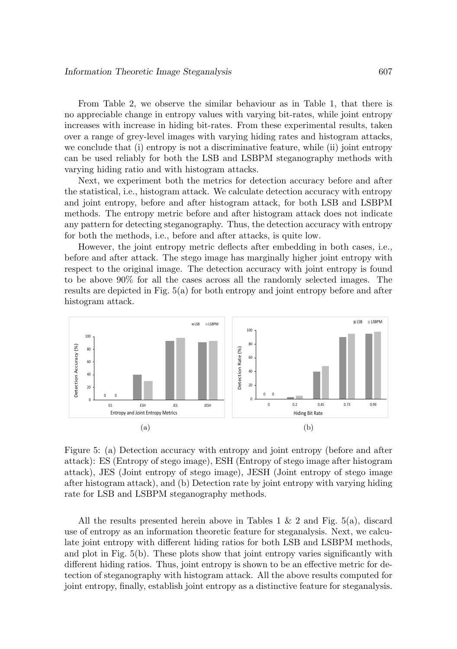From Table 2, we observe the similar behaviour as in Table 1, that there is no appreciable change in entropy values with varying bit-rates, while joint entropy increases with increase in hiding bit-rates. From these experimental results, taken over a range of grey-level images with varying hiding rates and histogram attacks, we conclude that (i) entropy is not a discriminative feature, while (ii) joint entropy can be used reliably for both the LSB and LSBPM steganography methods with varying hiding ratio and with histogram attacks.

Next, we experiment both the metrics for detection accuracy before and after the statistical, i.e., histogram attack. We calculate detection accuracy with entropy and joint entropy, before and after histogram attack, for both LSB and LSBPM methods. The entropy metric before and after histogram attack does not indicate any pattern for detecting steganography. Thus, the detection accuracy with entropy for both the methods, i.e., before and after attacks, is quite low.

However, the joint entropy metric deflects after embedding in both cases, i.e., before and after attack. The stego image has marginally higher joint entropy with respect to the original image. The detection accuracy with joint entropy is found to be above 90% for all the cases across all the randomly selected images. The results are depicted in Fig. 5(a) for both entropy and joint entropy before and after histogram attack.



Figure 5: (a) Detection accuracy with entropy and joint entropy (before and after attack): ES (Entropy of stego image), ESH (Entropy of stego image after histogram attack), JES (Joint entropy of stego image), JESH (Joint entropy of stego image after histogram attack), and (b) Detection rate by joint entropy with varying hiding rate for LSB and LSBPM steganography methods.

All the results presented herein above in Tables 1  $\&$  2 and Fig. 5(a), discard use of entropy as an information theoretic feature for steganalysis. Next, we calculate joint entropy with different hiding ratios for both LSB and LSBPM methods, and plot in Fig. 5(b). These plots show that joint entropy varies significantly with different hiding ratios. Thus, joint entropy is shown to be an effective metric for detection of steganography with histogram attack. All the above results computed for joint entropy, finally, establish joint entropy as a distinctive feature for steganalysis.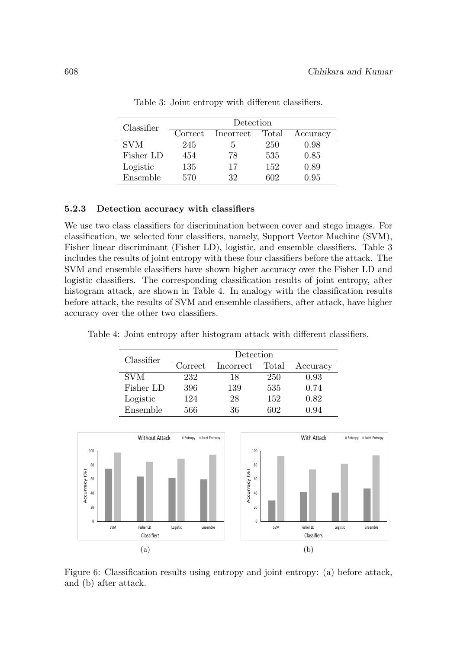| Classifier | Detection |           |       |          |
|------------|-----------|-----------|-------|----------|
|            | Correct   | Incorrect | Total | Accuracy |
| <b>SVM</b> | 245       | 5.        | 250   | 0.98     |
| Fisher LD  | 454       | 78        | 535   | 0.85     |
| Logistic   | 135       | 17        | 152   | 0.89     |
| Ensemble   | 570       | 32        | 602   | 0.95     |

Table 3: Joint entropy with different classifiers.

#### **5.2.3 Detection accuracy with classifiers**

We use two class classifiers for discrimination between cover and stego images. For classification, we selected four classifiers, namely, Support Vector Machine (SVM), Fisher linear discriminant (Fisher LD), logistic, and ensemble classifiers. Table 3 includes the results of joint entropy with these four classifiers before the attack. The SVM and ensemble classifiers have shown higher accuracy over the Fisher LD and logistic classifiers. The corresponding classification results of joint entropy, after histogram attack, are shown in Table 4. In analogy with the classification results before attack, the results of SVM and ensemble classifiers, after attack, have higher accuracy over the other two classifiers.

Table 4: Joint entropy after histogram attack with different classifiers.

| Classifier | Detection |           |       |          |
|------------|-----------|-----------|-------|----------|
|            | Correct   | Incorrect | Total | Accuracy |
| <b>SVM</b> | 232       | 18        | 250   | 0.93     |
| Fisher LD  | 396       | 139       | 535   | 0.74     |
| Logistic   | 124       | 28        | 152   | 0.82     |
| Ensemble   | 566       | 36        | 602   | 0.94     |



Figure 6: Classification results using entropy and joint entropy: (a) before attack, and (b) after attack.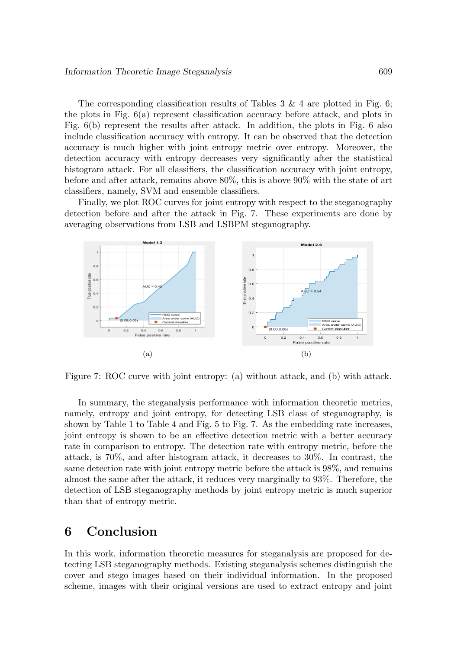The corresponding classification results of Tables  $3 \& 4$  are plotted in Fig. 6; the plots in Fig. 6(a) represent classification accuracy before attack, and plots in Fig. 6(b) represent the results after attack. In addition, the plots in Fig. 6 also include classification accuracy with entropy. It can be observed that the detection accuracy is much higher with joint entropy metric over entropy. Moreover, the detection accuracy with entropy decreases very significantly after the statistical histogram attack. For all classifiers, the classification accuracy with joint entropy, before and after attack, remains above 80%, this is above 90% with the state of art classifiers, namely, SVM and ensemble classifiers.

Finally, we plot ROC curves for joint entropy with respect to the steganography detection before and after the attack in Fig. 7. These experiments are done by averaging observations from LSB and LSBPM steganography.



Figure 7: ROC curve with joint entropy: (a) without attack, and (b) with attack.

In summary, the steganalysis performance with information theoretic metrics, namely, entropy and joint entropy, for detecting LSB class of steganography, is shown by Table 1 to Table 4 and Fig. 5 to Fig. 7. As the embedding rate increases, joint entropy is shown to be an effective detection metric with a better accuracy rate in comparison to entropy. The detection rate with entropy metric, before the attack, is 70%, and after histogram attack, it decreases to 30%. In contrast, the same detection rate with joint entropy metric before the attack is 98%, and remains almost the same after the attack, it reduces very marginally to 93%. Therefore, the detection of LSB steganography methods by joint entropy metric is much superior than that of entropy metric.

# **6 Conclusion**

In this work, information theoretic measures for steganalysis are proposed for detecting LSB steganography methods. Existing steganalysis schemes distinguish the cover and stego images based on their individual information. In the proposed scheme, images with their original versions are used to extract entropy and joint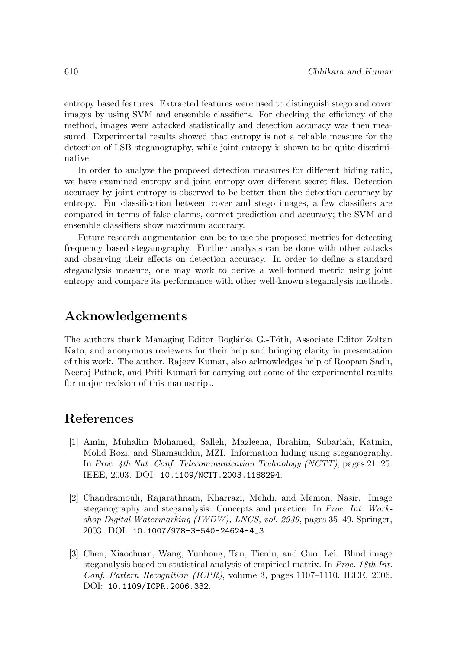entropy based features. Extracted features were used to distinguish stego and cover images by using SVM and ensemble classifiers. For checking the efficiency of the method, images were attacked statistically and detection accuracy was then measured. Experimental results showed that entropy is not a reliable measure for the detection of LSB steganography, while joint entropy is shown to be quite discriminative.

In order to analyze the proposed detection measures for different hiding ratio, we have examined entropy and joint entropy over different secret files. Detection accuracy by joint entropy is observed to be better than the detection accuracy by entropy. For classification between cover and stego images, a few classifiers are compared in terms of false alarms, correct prediction and accuracy; the SVM and ensemble classifiers show maximum accuracy.

Future research augmentation can be to use the proposed metrics for detecting frequency based steganography. Further analysis can be done with other attacks and observing their effects on detection accuracy. In order to define a standard steganalysis measure, one may work to derive a well-formed metric using joint entropy and compare its performance with other well-known steganalysis methods.

# **Acknowledgements**

The authors thank Managing Editor Boglárka G.-Tóth, Associate Editor Zoltan Kato, and anonymous reviewers for their help and bringing clarity in presentation of this work. The author, Rajeev Kumar, also acknowledges help of Roopam Sadh, Neeraj Pathak, and Priti Kumari for carrying-out some of the experimental results for major revision of this manuscript.

# **References**

- [1] Amin, Muhalim Mohamed, Salleh, Mazleena, Ibrahim, Subariah, Katmin, Mohd Rozi, and Shamsuddin, MZI. Information hiding using steganography. In Proc. 4th Nat. Conf. Telecommunication Technology (NCTT), pages 21–25. IEEE, 2003. DOI: 10.1109/NCTT.2003.1188294.
- [2] Chandramouli, Rajarathnam, Kharrazi, Mehdi, and Memon, Nasir. Image steganography and steganalysis: Concepts and practice. In Proc. Int. Workshop Digital Watermarking (IWDW), LNCS, vol. 2939, pages 35–49. Springer, 2003. DOI: 10.1007/978-3-540-24624-4\_3.
- [3] Chen, Xiaochuan, Wang, Yunhong, Tan, Tieniu, and Guo, Lei. Blind image steganalysis based on statistical analysis of empirical matrix. In Proc. 18th Int. Conf. Pattern Recognition (ICPR), volume 3, pages 1107–1110. IEEE, 2006. DOI: 10.1109/ICPR.2006.332.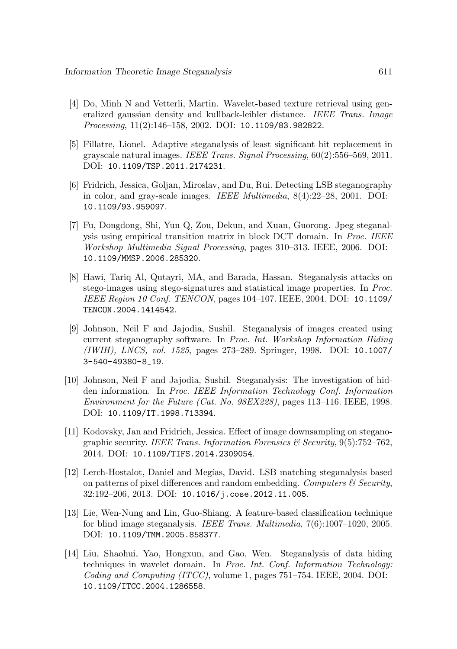- [4] Do, Minh N and Vetterli, Martin. Wavelet-based texture retrieval using generalized gaussian density and kullback-leibler distance. IEEE Trans. Image Processing, 11(2):146–158, 2002. DOI: 10.1109/83.982822.
- [5] Fillatre, Lionel. Adaptive steganalysis of least significant bit replacement in grayscale natural images. IEEE Trans. Signal Processing, 60(2):556–569, 2011. DOI: 10.1109/TSP.2011.2174231.
- [6] Fridrich, Jessica, Goljan, Miroslav, and Du, Rui. Detecting LSB steganography in color, and gray-scale images. IEEE Multimedia, 8(4):22–28, 2001. DOI: 10.1109/93.959097.
- [7] Fu, Dongdong, Shi, Yun Q, Zou, Dekun, and Xuan, Guorong. Jpeg steganalysis using empirical transition matrix in block DCT domain. In Proc. IEEE Workshop Multimedia Signal Processing, pages 310–313. IEEE, 2006. DOI: 10.1109/MMSP.2006.285320.
- [8] Hawi, Tariq Al, Qutayri, MA, and Barada, Hassan. Steganalysis attacks on stego-images using stego-signatures and statistical image properties. In Proc. IEEE Region 10 Conf. TENCON, pages 104–107. IEEE, 2004. DOI: 10.1109/ TENCON.2004.1414542.
- [9] Johnson, Neil F and Jajodia, Sushil. Steganalysis of images created using current steganography software. In Proc. Int. Workshop Information Hiding (IWIH), LNCS, vol. 1525, pages 273–289. Springer, 1998. DOI: 10.1007/ 3-540-49380-8\_19.
- [10] Johnson, Neil F and Jajodia, Sushil. Steganalysis: The investigation of hidden information. In Proc. IEEE Information Technology Conf. Information Environment for the Future (Cat. No. 98EX228), pages 113–116. IEEE, 1998. DOI: 10.1109/IT.1998.713394.
- [11] Kodovsky, Jan and Fridrich, Jessica. Effect of image downsampling on steganographic security. IEEE Trans. Information Forensics  $\mathcal{C}$  Security, 9(5):752–762, 2014. DOI: 10.1109/TIFS.2014.2309054.
- [12] Lerch-Hostalot, Daniel and Meg´ıas, David. LSB matching steganalysis based on patterns of pixel differences and random embedding. Computers  $\mathcal C$  Security, 32:192–206, 2013. DOI: 10.1016/j.cose.2012.11.005.
- [13] Lie, Wen-Nung and Lin, Guo-Shiang. A feature-based classification technique for blind image steganalysis. IEEE Trans. Multimedia, 7(6):1007–1020, 2005. DOI: 10.1109/TMM.2005.858377.
- [14] Liu, Shaohui, Yao, Hongxun, and Gao, Wen. Steganalysis of data hiding techniques in wavelet domain. In Proc. Int. Conf. Information Technology: Coding and Computing (ITCC), volume 1, pages 751–754. IEEE, 2004. DOI: 10.1109/ITCC.2004.1286558.